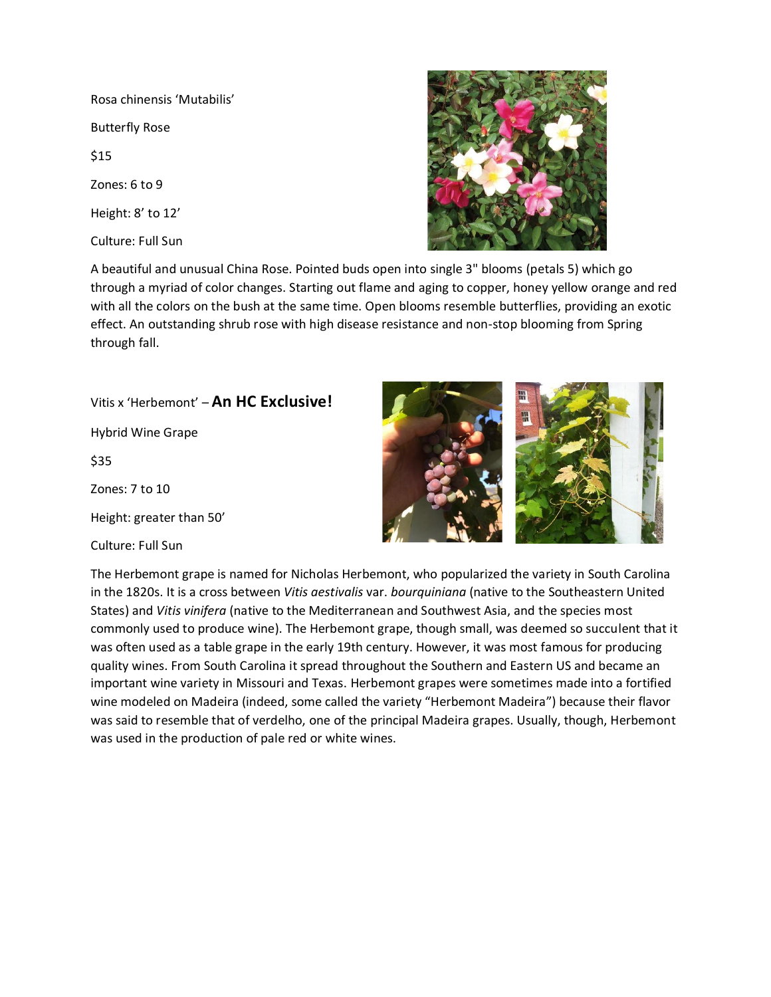Rosa chinensis 'Mutabilis' Butterfly Rose \$15 Zones: 6 to 9 Height: 8' to 12' Culture: Full Sun



A beautiful and unusual China Rose. Pointed buds open into single 3" blooms (petals 5) which go through a myriad of color changes. Starting out flame and aging to copper, honey yellow orange and red with all the colors on the bush at the same time. Open blooms resemble butterflies, providing an exotic effect. An outstanding shrub rose with high disease resistance and non-stop blooming from Spring through fall.

Vitis x 'Herbemont' – **An HC Exclusive!** Hybrid Wine Grape \$35 Zones: 7 to 10

Height: greater than 50'

Culture: Full Sun



The Herbemont grape is named for Nicholas Herbemont, who popularized the variety in South Carolina in the 1820s. It is a cross between *Vitis aestivalis* var. *bourquiniana* (native to the Southeastern United States) and *Vitis vinifera* (native to the Mediterranean and Southwest Asia, and the species most commonly used to produce wine). The Herbemont grape, though small, was deemed so succulent that it was often used as a table grape in the early 19th century. However, it was most famous for producing quality wines. From South Carolina it spread throughout the Southern and Eastern US and became an important wine variety in Missouri and Texas. Herbemont grapes were sometimes made into a fortified wine modeled on Madeira (indeed, some called the variety "Herbemont Madeira") because their flavor was said to resemble that of verdelho, one of the principal Madeira grapes. Usually, though, Herbemont was used in the production of pale red or white wines.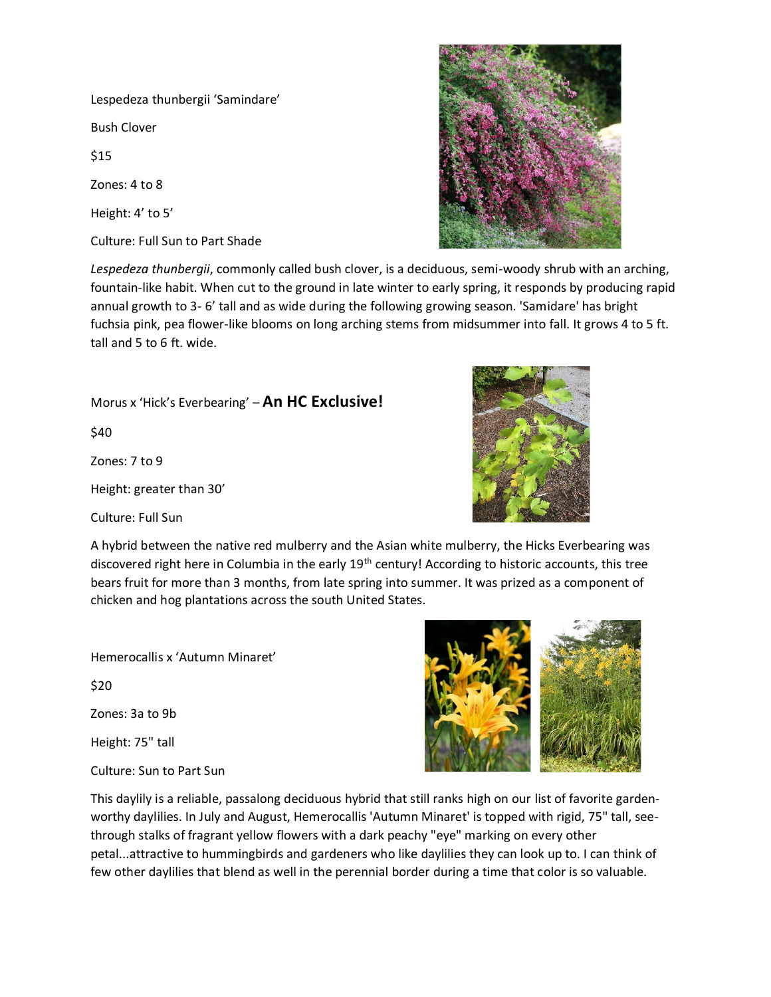Lespedeza thunbergii 'Samindare'

Bush Clover

\$15

Zones: 4 to 8

Height: 4' to 5'

Culture: Full Sun to Part Shade



*Lespedeza thunbergii*, commonly called bush clover, is a deciduous, semi-woody shrub with an arching, fountain-like habit. When cut to the ground in late winter to early spring, it responds by producing rapid annual growth to 3- 6' tall and as wide during the following growing season. 'Samidare' has bright fuchsia pink, pea flower-like blooms on long arching stems from midsummer into fall. It grows 4 to 5 ft. tall and 5 to 6 ft. wide.

Morus x 'Hick's Everbearing' – **An HC Exclusive!**

\$40

Zones: 7 to 9

Height: greater than 30'

Culture: Full Sun



Hemerocallis x 'Autumn Minaret'

\$20

Zones: 3a to 9b

Height: 75" tall

Culture: Sun to Part Sun



This daylily is a reliable, passalong deciduous hybrid that still ranks high on our list of favorite gardenworthy daylilies. In July and August, Hemerocallis 'Autumn Minaret' is topped with rigid, 75" tall, seethrough stalks of fragrant yellow flowers with a dark peachy "eye" marking on every other petal...attractive to hummingbirds and gardeners who like daylilies they can look up to. I can think of few other daylilies that blend as well in the perennial border during a time that color is so valuable.

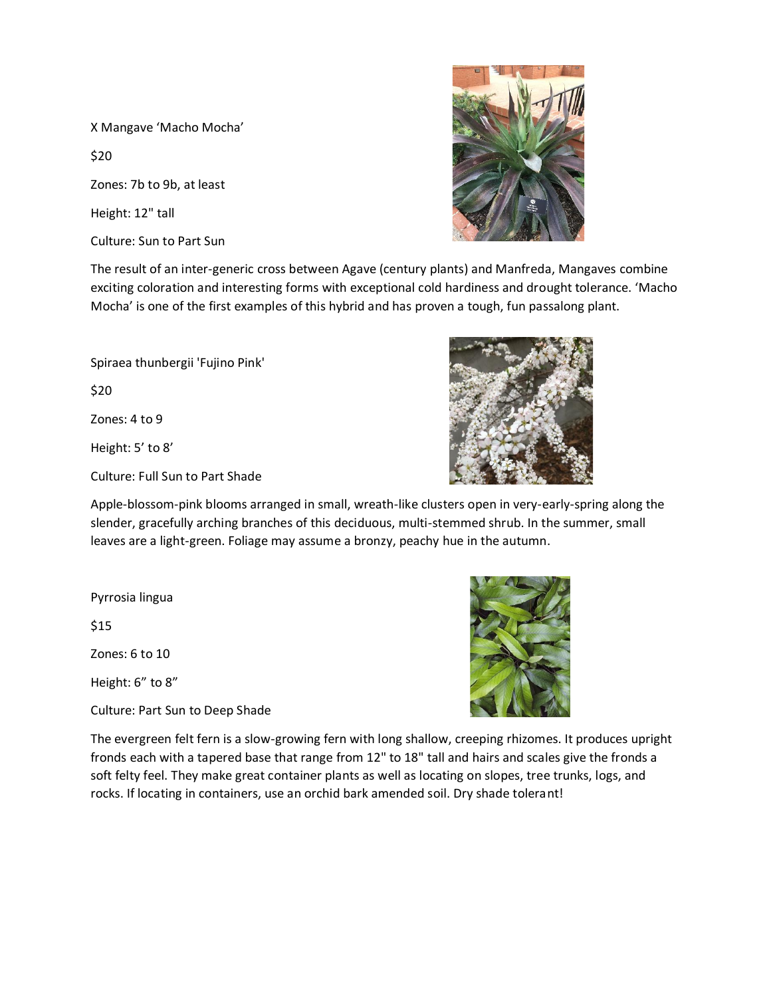X Mangave 'Macho Mocha'

\$20

Zones: 7b to 9b, at least

Height: 12" tall

Culture: Sun to Part Sun



The result of an inter-generic cross between Agave (century plants) and Manfreda, Mangaves combine exciting coloration and interesting forms with exceptional cold hardiness and drought tolerance. 'Macho Mocha' is one of the first examples of this hybrid and has proven a tough, fun passalong plant.

Spiraea thunbergii 'Fujino Pink' \$20 Zones: 4 to 9

Height: 5' to 8'

Culture: Full Sun to Part Shade



Apple-blossom-pink blooms arranged in small, wreath-like clusters open in very-early-spring along the slender, gracefully arching branches of this deciduous, multi-stemmed shrub. In the summer, small leaves are a light-green. Foliage may assume a bronzy, peachy hue in the autumn.

Pyrrosia lingua

\$15

Zones: 6 to 10

Height: 6" to 8"

Culture: Part Sun to Deep Shade



The evergreen felt fern is a slow-growing fern with long shallow, creeping rhizomes. It produces upright fronds each with a tapered base that range from 12" to 18" tall and hairs and scales give the fronds a soft felty feel. They make great container plants as well as locating on slopes, tree trunks, logs, and rocks. If locating in containers, use an orchid bark amended soil. Dry shade tolerant!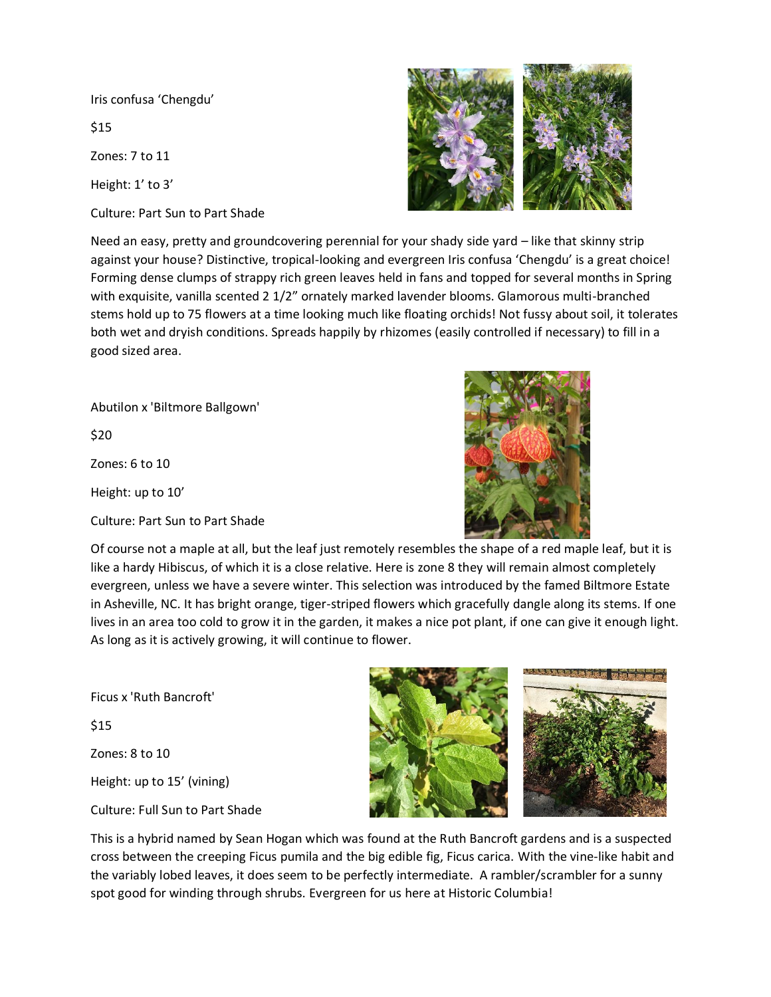Iris confusa 'Chengdu'

\$15

Zones: 7 to 11

Height: 1' to 3'

Culture: Part Sun to Part Shade



Need an easy, pretty and groundcovering perennial for your shady side yard – like that skinny strip against your house? Distinctive, tropical-looking and evergreen Iris confusa 'Chengdu' is a great choice! Forming dense clumps of strappy rich green leaves held in fans and topped for several months in Spring with exquisite, vanilla scented 2 1/2" ornately marked lavender blooms. Glamorous multi-branched stems hold up to 75 flowers at a time looking much like floating orchids! Not fussy about soil, it tolerates both wet and dryish conditions. Spreads happily by rhizomes (easily controlled if necessary) to fill in a good sized area.

Abutilon x 'Biltmore Ballgown'

\$20

Zones: 6 to 10

Height: up to 10'

Culture: Part Sun to Part Shade



Of course not a maple at all, but the leaf just remotely resembles the shape of a red maple leaf, but it is like a hardy Hibiscus, of which it is a close relative. Here is zone 8 they will remain almost completely evergreen, unless we have a severe winter. This selection was introduced by the famed Biltmore Estate in Asheville, NC. It has bright orange, tiger-striped flowers which gracefully dangle along its stems. If one lives in an area too cold to grow it in the garden, it makes a nice pot plant, if one can give it enough light. As long as it is actively growing, it will continue to flower.

Ficus x 'Ruth Bancroft' \$15 Zones: 8 to 10 Height: up to 15' (vining) Culture: Full Sun to Part Shade



This is a hybrid named by Sean Hogan which was found at the Ruth Bancroft gardens and is a suspected cross between the creeping Ficus pumila and the big edible fig, Ficus carica. With the vine-like habit and the variably lobed leaves, it does seem to be perfectly intermediate. A rambler/scrambler for a sunny spot good for winding through shrubs. Evergreen for us here at Historic Columbia!